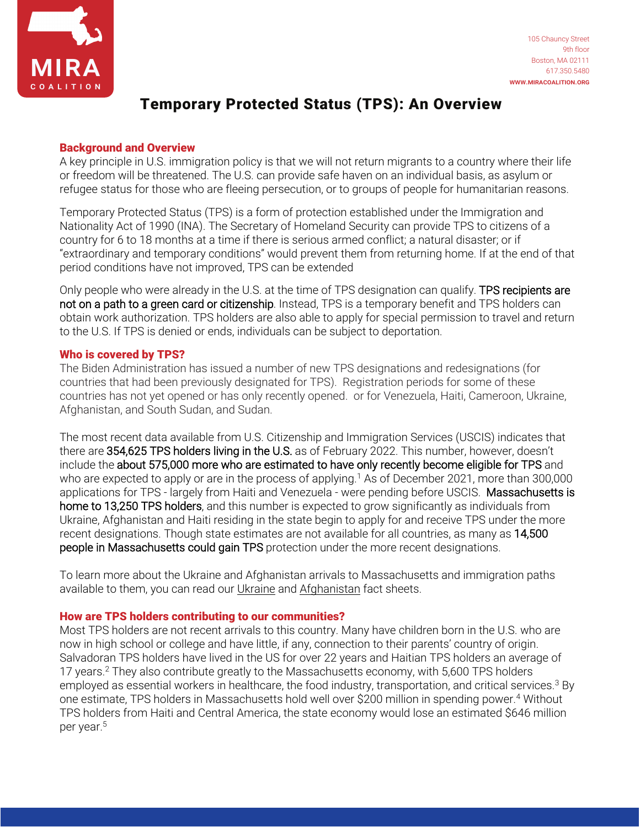

# Temporary Protected Status (TPS): An Overview

#### Background and Overview

A key principle in U.S. immigration policy is that we will not return migrants to a country where their life or freedom will be threatened. The U.S. can provide safe haven on an individual basis, as asylum or refugee status for those who are fleeing persecution, or to groups of people for humanitarian reasons.

Temporary Protected Status (TPS) is a form of protection established under the Immigration and Nationality Act of 1990 (INA). The Secretary of Homeland Security can provide TPS to citizens of a country for 6 to 18 months at a time if there is serious armed conflict; a natural disaster; or if "extraordinary and temporary conditions" would prevent them from returning home. If at the end of that period conditions have not improved, TPS can be extended

Only people who were already in the U.S. at the time of TPS designation can qualify. TPS recipients are not on a path to a green card or citizenship. Instead, TPS is a temporary benefit and TPS holders can obtain work authorization. TPS holders are also able to apply for special permission to travel and return to the U.S. If TPS is denied or ends, individuals can be subject to deportation.

### Who is covered by TPS?

The Biden Administration has issued a number of new TPS designations and redesignations (for countries that had been previously designated for TPS). Registration periods for some of these countries has not yet opened or has only recently opened. or for Venezuela, Haiti, Cameroon, Ukraine, Afghanistan, and South Sudan, and Sudan.

The most recent data available from U.S. Citizenship and Immigration Services (USCIS) indicates that there are 354,625 TPS holders living in the U.S. as of February 2022. This number, however, doesn't include the about 575,000 more who are estimated to have only recently become eligible for TPS and who are expected to apply or are in the process of applying.<sup>1</sup> As of December 2021, more than 300,000 applications for TPS - largely from Haiti and Venezuela - were pending before USCIS. Massachusetts is home to 13,250 TPS holders, and this number is expected to grow significantly as individuals from Ukraine, Afghanistan and Haiti residing in the state begin to apply for and receive TPS under the more recent designations. Though state estimates are not available for all countries, as many as 14,500 people in Massachusetts could gain TPS protection under the more recent designations.

To learn more about the Ukraine and Afghanistan arrivals to Massachusetts and immigration paths available to them, you can read our [Ukraine](https://miracoalition.org/wp-content/uploads/2022/05/Ukraine-refugee-crisis-factsheet_5-4-22.pdf) and [Afghanistan f](https://www.miracoalition.org/wp-content/uploads/2022/02/Afghan-arrivals-fact-sheet_updated.pdf)act sheets.

#### How are TPS holders contributing to our communities?

Most TPS holders are not recent arrivals to this country. Many have children born in the U.S. who are now in high school or college and have little, if any, connection to their parents' country of origin. Salvadoran TPS holders have lived in the US for over 22 years and Haitian TPS holders an average of 17 years.<sup>2</sup> They also contribute greatly to the Massachusetts economy, with 5,600 TPS holders employed as essential workers in healthcare, the food industry, transportation, and critical services.<sup>3</sup> By one estimate, TPS holders in Massachusetts hold well over \$200 million in spending power.<sup>4</sup> Without TPS holders from Haiti and Central America, the state economy would lose an estimated \$646 million per year.<sup>5</sup>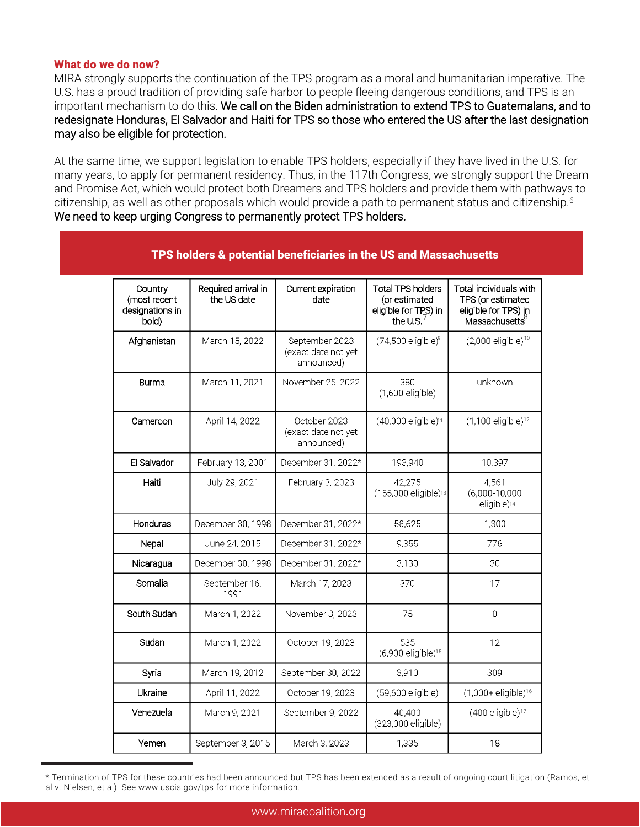#### What do we do now?

MIRA strongly supports the continuation of the TPS program as a moral and humanitarian imperative. The U.S. has a proud tradition of providing safe harbor to people fleeing dangerous conditions, and TPS is an important mechanism to do this. We call on the Biden administration to extend TPS to Guatemalans, and to redesignate Honduras, El Salvador and Haiti for TPS so those who entered the US after the last designation may also be eligible for protection.

At the same time, we support legislation to enable TPS holders, especially if they have lived in the U.S. for many years, to apply for permanent residency. Thus, in the 117th Congress, we strongly support the Dream and Promise Act, which would protect both Dreamers and TPS holders and provide them with pathways to citizenship, as well as other proposals which would provide a path to permanent status and citizenship.<sup>6</sup> We need to keep urging Congress to permanently protect TPS holders.

| Country<br>(most recent<br>designations in<br>bold) | Required arrival in<br>the US date | Current expiration<br>date                          | <b>Total TPS holders</b><br>(or estimated<br>eligible for TPS) in<br>the U.S. | Total individuals with<br>TPS (or estimated<br>eligible for TPS) in<br>Massachusetts |
|-----------------------------------------------------|------------------------------------|-----------------------------------------------------|-------------------------------------------------------------------------------|--------------------------------------------------------------------------------------|
| Afghanistan                                         | March 15, 2022                     | September 2023<br>(exact date not yet<br>announced) | $(74,500$ eligible $)^9$                                                      | $(2,000$ eligible) <sup>10</sup>                                                     |
| Burma                                               | March 11, 2021                     | November 25, 2022                                   | 380<br>(1,600 eligible)                                                       | unknown                                                                              |
| Cameroon                                            | April 14, 2022                     | October 2023<br>(exact date not yet<br>announced)   | (40,000 eligible) <sup>11</sup>                                               | (1,100 eligible) <sup>12</sup>                                                       |
| El Salvador                                         | February 13, 2001                  | December 31, 2022*                                  | 193,940                                                                       | 10,397                                                                               |
| Haiti                                               | July 29, 2021                      | February 3, 2023                                    | 42,275<br>(155,000 eligible) <sup>13</sup>                                    | 4,561<br>$(6,000-10,000)$<br>eligible) <sup>14</sup>                                 |
| Honduras                                            | December 30, 1998                  | December 31, 2022*                                  | 58,625                                                                        | 1,300                                                                                |
| Nepal                                               | June 24, 2015                      | December 31, 2022*                                  | 9,355                                                                         | 776                                                                                  |
| Nicaragua                                           | December 30, 1998                  | December 31, 2022*                                  | 3,130                                                                         | 30                                                                                   |
| Somalia                                             | September 16,<br>1991              | March 17, 2023                                      | 370                                                                           | 17                                                                                   |
| South Sudan                                         | March 1, 2022                      | November 3, 2023                                    | 75                                                                            | $\overline{0}$                                                                       |
| Sudan                                               | March 1, 2022                      | October 19, 2023                                    | 535<br>(6,900 eligible) <sup>15</sup>                                         | 12                                                                                   |
| Syria                                               | March 19, 2012                     | September 30, 2022                                  | 3.910                                                                         | 309                                                                                  |
| Ukraine                                             | April 11, 2022                     | October 19, 2023                                    | (59,600 eligible)                                                             | (1,000+ eligible) <sup>16</sup>                                                      |
| Venezuela                                           | March 9, 2021                      | September 9, 2022                                   | 40.400<br>(323,000 eligible)                                                  | (400 eligible) <sup>17</sup>                                                         |
| Yemen                                               | September 3, 2015                  | March 3, 2023                                       | 1,335                                                                         | 18                                                                                   |

TPS holders & potential beneficiaries in the US and Massachusetts

<sup>\*</sup> Termination of TPS for these countries had been announced but TPS has been extended as a result of ongoing court litigation (Ramos, et al v. Nielsen, et al). See www.uscis.gov/tps for more information.